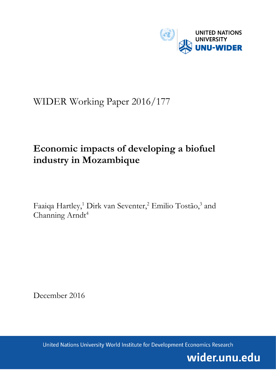

# WIDER Working Paper 2016/177

# **Economic impacts of developing a biofuel industry in Mozambique**

Faaiqa Hartley,<sup>1</sup> Dirk van Seventer,<sup>2</sup> Emilio Tostão,<sup>3</sup> and Channing Arndt<sup>4</sup>

December 2016

United Nations University World Institute for Development Economics Research

wider.unu.edu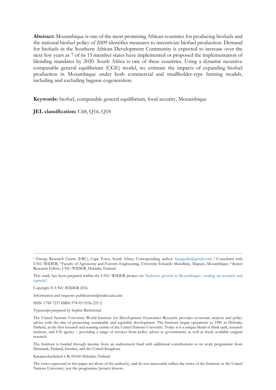**Abstract:** Mozambique is one of the most promising African countries for producing biofuels and the national biofuel policy of 2009 identifies measures to incentivize biofuel production. Demand for biofuels in the Southern African Development Community is expected to increase over the next few years as 7 of its 15 member states have implemented or proposed the implementation of blending mandates by 2020. South Africa is one of these countries. Using a dynamic recursive computable general equilibrium (CGE) model, we estimate the impacts of expanding biofuel production in Mozambique under both commercial and smallholder-type farming models, including and excluding bagasse cogeneration.

**Keywords:** biofuel, computable general equilibrium, food security, Mozambique

**JEL classification:** C68, Q16, Q18

Information and requests: publications@wider.unu.edu

ISSN 1798-7237 ISBN 978-92-9256-221-2

Typescript prepared by Sophie Richmond.

The Institute is funded through income from an endowment fund with additional contributions to its work programme from Denmark, Finland, Sweden, and the United Kingdom.

Katajanokanlaituri 6 B, 00160 Helsinki, Finland

<sup>1</sup> Energy Research Centre (ERC), Cape Town, South Africa, Corresponding author: [faaiqasalie@gmail.com;](mailto:faaiqasalie@gmail.com) 2 Consultant with UNU-WIDER; 3 Faculty of Agronomy and Forestry Engineering, University Eduardo Mondlane, Maputo, Mozambique; <sup>4</sup> Senior Research Fellow, UNU-WIDER, Helsinki, Finland.

This study has been prepared within the UNU-WIDER project on '[Inclusive growth in Mozambique](https://www.wider.unu.edu/node/461)—scaling up research and [capacity](https://www.wider.unu.edu/node/461)'.

Copyright © UNU-WIDER 2016

The United Nations University World Institute for Development Economics Research provides economic analysis and policy advice with the aim of promoting sustainable and equitable development. The Institute began operations in 1985 in Helsinki, Finland, as the first research and training centre of the United Nations University. Today it is a unique blend of think tank, research institute, and UN agency – providing a range of services from policy advice to governments as well as freely available original research.

The views expressed in this paper are those of the author(s), and do not necessarily reflect the views of the Institute or the United Nations University, nor the programme/project donors.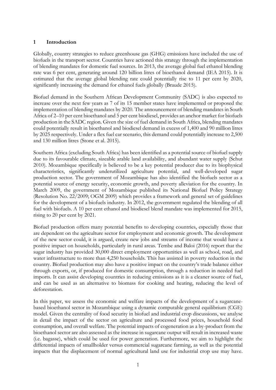## **1 Introduction**

Globally, country strategies to reduce greenhouse gas (GHG) emissions have included the use of biofuels in the transport sector. Countries have actioned this strategy through the implementation of blending mandates for domestic fuel sources. In 2013, the average global fuel ethanol blending rate was 6 per cent, generating around 120 billion litres of bioethanol demand (IEA 2015). It is estimated that the average global blending rate could potentially rise to 11 per cent by 2020, significantly increasing the demand for ethanol fuels globally (Braude 2015).

Biofuel demand in the Southern African Development Community (SADC) is also expected to increase over the next few years as 7 of its 15 member states have implemented or proposed the implementation of blending mandates by 2020. The announcement of blending mandates in South Africa of 2–10 per cent bioethanol and 5 per cent biodiesel, provides an anchor market for biofuels production in the SADC region. Given the size of fuel demand in South Africa, blending mandates could potentially result in bioethanol and biodiesel demand in excess of 1,400 and 90 million litres by 2025 respectively. Under a flex fuel car scenario, this demand could potentially increase to 2,500 and 130 million litres (Stone et al. 2015).

Southern Africa (excluding South Africa) has been identified as a potential source of biofuel supply due to its favourable climate, sizeable arable land availability, and abundant water supply (Schut 2010). Mozambique specifically is believed to be a key potential producer due to its biophysical characteristics, significantly underutilized agriculture potential, and well-developed sugar production sector. The government of Mozambique has also identified the biofuels sector as a potential source of energy security, economic growth, and poverty alleviation for the country. In March 2009, the government of Mozambique published its National Biofuel Policy Strategy (Resolution No. 22/2009; OGM 2009) which provides a framework and general set of guidelines for the development of a biofuels industry. In 2012, the government regulated the blending of all fuel with biofuels. A 10 per cent ethanol and biodiesel blend mandate was implemented for 2015, rising to 20 per cent by 2021.

Biofuel production offers many potential benefits to developing countries, especially those that are dependent on the agriculture sector for employment and economic growth. The development of the new sector could, it is argued, create new jobs and streams of income that would have a positive impact on households, particularly in rural areas. Tembe and Baloi (2016) report that the sugar industry has provided 30,000 direct employment opportunities as well as school, road, and water infrastructure to more than 4,250 households. This has assisted in poverty reduction in the country. Biofuel production may also have a positive impact on the country's trade balance either through exports, or, if produced for domestic consumption, through a reduction in needed fuel imports. It can assist developing countries in reducing emissions as it is a cleaner source of fuel, and can be used as an alternative to biomass for cooking and heating, reducing the level of deforestation.

In this paper, we assess the economic and welfare impacts of the development of a sugarcanebased bioethanol sector in Mozambique using a dynamic computable general equilibrium (CGE) model. Given the centrality of food security in biofuel and industrial crop discussions, we analyse in detail the impact of the sector on agriculture and processed food prices, household food consumption, and overall welfare. The potential impacts of cogeneration as a by-product from the bioethanol sector are also assessed as the increase in sugarcane output will result in increased waste (i.e. bagasse), which could be used for power generation. Furthermore, we aim to highlight the differential impacts of smallholder versus commercial sugarcane farming, as well as the potential impacts that the displacement of normal agricultural land use for industrial crop use may have.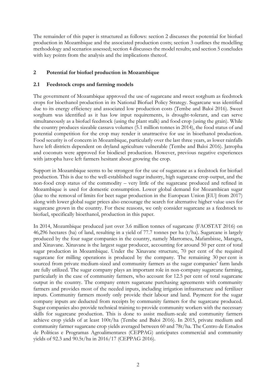The remainder of this paper is structured as follows: section 2 discusses the potential for biofuel production in Mozambique and the associated production costs; section 3 outlines the modelling methodology and scenarios assessed; section 4 discusses the model results; and section 5 concludes with key points from the analysis and the implications thereof.

# **2 Potential for biofuel production in Mozambique**

### **2.1 Feedstock crops and farming models**

The government of Mozambique approved the use of sugarcane and sweet sorghum as feedstock crops for bioethanol production in its National Biofuel Policy Strategy. Sugarcane was identified due to its energy efficiency and associated low production costs (Tembe and Baloi 2016). Sweet sorghum was identified as it has low input requirements, is drought-tolerant, and can serve simultaneously as a biofuel feedstock (using the plant stalk) and food crop (using the grain). While the country produces sizeable cassava volumes (5.1 million tonnes in 2014), the food status of and potential competition for the crop may render it unattractive for use in bioethanol production. Food security is of concern in Mozambique, particularly over the last three years, as lower rainfalls have left districts dependent on dryland agriculture vulnerable (Tembe and Baloi 2016). Jatropha and coconuts were approved for biodiesel production. However, previous negative experiences with jatropha have left farmers hesitant about growing the crop.

Support in Mozambique seems to be strongest for the use of sugarcane as a feedstock for biofuel production. This is due to the well-established sugar industry, high sugarcane crop output, and the non-food crop status of the commodity – very little of the sugarcane produced and refined in Mozambique is used for domestic consumption. Lower global demand for Mozambican sugar (due to the removal of limits for beet sugar production in the European Union [EU] from 2017) along with lower global sugar prices also encourage the search for alternative higher value uses for sugarcane grown in the country. For these reasons, we only consider sugarcane as a feedstock to biofuel, specifically bioethanol, production in this paper.

In 2014, Mozambique produced just over 3.6 million tonnes of sugarcane (FAOSTAT 2016) on 46,296 hectares (ha) of land, resulting in a yield of 77.7 tonnes per ha (t/ha). Sugarcane is largely produced by the four sugar companies in the country, namely Marromeu, Mafambisse, Maragra, and Xinavane. Xinavane is the largest sugar producer, accounting for around 50 per cent of total sugar production in Mozambique. Under the Xinavane structure, 70 per cent of the required sugarcane for milling operations is produced by the company. The remaining 30 per cent is sourced from private medium-sized and community farmers as the sugar companies' farm lands are fully utilized. The sugar company plays an important role in non-company sugarcane farming, particularly in the case of community farmers, who account for 12.5 per cent of total sugarcane output in the country. The company enters sugarcane purchasing agreements with community farmers and provides most of the needed inputs, including irrigation infrastructure and fertilizer inputs. Community farmers mostly only provide their labour and land. Payment for the sugar company inputs are deducted from receipts by community farmers for the sugarcane produced. Sugar companies also provide technical training to provide community workers with the necessary skills for sugarcane production. This is done to assist medium-scale and community farmers achieve crop yields of at least 100t/ha (Tembe and Baloi 2016). In 2015, private medium and community farmer sugarcane crop yields averaged between 60 and 78t/ha. The Centro de Estudos de Políticas e Programas Agroalimentares (CEPPAG) anticipates commercial and community yields of 92.3 and 90.5t/ha in 2016/17 (CEPPAG 2016).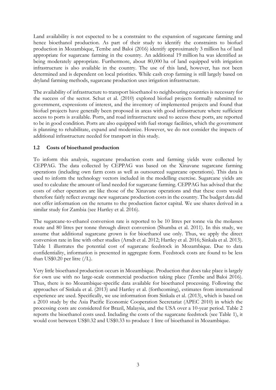Land availability is not expected to be a constraint to the expansion of sugarcane farming and hence bioethanol production. As part of their study to identify the constraints to biofuel production in Mozambique, Tembe and Baloi (2016) identify approximately 3 million ha of land appropriate for sugarcane farming in the country. An additional 19 million ha was identified as being moderately appropriate. Furthermore, about 80,000 ha of land equipped with irrigation infrastructure is also available in the country. The use of this land, however, has not been determined and is dependent on local priorities. While cash crop farming is still largely based on dryland farming methods, sugarcane production uses irrigation infrastructure.

The availability of infrastructure to transport bioethanol to neighbouring countries is necessary for the success of the sector. Schut et al. (2010) explored biofuel projects formally submitted to government, expressions of interest, and the inventory of implemented projects and found that biofuel projects have generally been proposed in areas with good infrastructure where sufficient access to ports is available. Ports, and road infrastructure used to access these ports, are reported to be in good condition. Ports are also equipped with fuel storage facilities, which the government is planning to rehabilitate, expand and modernize. However, we do not consider the impacts of additional infrastructure needed for transport in this study.

## **1.2 Costs of bioethanol production**

To inform this analysis, sugarcane production costs and farming yields were collected by CEPPAG. The data collected by CEPPAG was based on the Xinavane sugarcane farming operations (including own farm costs as well as outsourced sugarcane operations). This data is used to inform the technology vectors included in the modelling exercise. Sugarcane yields are used to calculate the amount of land needed for sugarcane farming. CEPPAG has advised that the costs of other operators are like those of the Xinavane operations and that these costs would therefore fairly reflect average new sugarcane production costs in the country. The budget data did not offer information on the returns to the production factor capital. We use shares derived in a similar study for Zambia (see Hartley et al. 2016).

The sugarcane-to-ethanol conversion rate is reported to be 10 litres per tonne via the molasses route and 80 litres per tonne through direct conversion (Shumba et al. 2011). In this study, we assume that additional sugarcane grown is for bioethanol use only. Thus, we apply the direct conversion rate in line with other studies (Arndt et al. 2012; Hartley et al. 2016; Sinkala et al. 2013). Table 1 illustrates the potential cost of sugarcane feedstock in Mozambique. Due to data confidentiality, information is presented in aggregate form. Feedstock costs are found to be less than US\$0.20 per litre (/L).

Very little bioethanol production occurs in Mozambique. Production that does take place is largely for own use with no large-scale commercial production taking place (Tembe and Baloi 2016). Thus, there is no Mozambique-specific data available for bioethanol processing. Following the approaches of Sinkala et al. (2013) and Hartley et al. (forthcoming), estimates from international experience are used. Specifically, we use information from Sinkala et al. (2013), which is based on a 2010 study by the Asia Pacific Economic Cooperation Secretariat (APEC 2010) in which the processing costs are considered for Brazil, Malaysia, and the USA over a 10-year period. Table 2 reports the bioethanol costs used. Including the costs of the sugarcane feedstock (see Table 1), it would cost between US\$0.32 and US\$0.33 to produce 1 litre of bioethanol in Mozambique.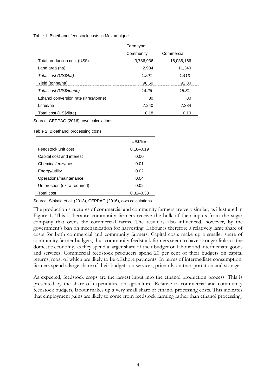Table 1: Bioethanol feedstock costs in Mozambique

|                                        | Farm type |            |
|----------------------------------------|-----------|------------|
|                                        | Community | Commercial |
| Total production cost (US\$)           | 3,786,936 | 16,036,166 |
| Land area (ha)                         | 2,934     | 11.349     |
| Total cost (US\$/ha)                   | 1.291     | 1.413      |
| Yield (tonne/ha)                       | 90.50     | 92.30      |
| Total cost (US\$/tonne)                | 14 2 R    | 15.31      |
| Ethanol conversion rate (litres/tonne) | 80        | 80         |
| Litres/ha                              | 7.240     | 7.384      |
| Total cost (US\$/litre)                | 0.18      | 0.19       |

Source: CEPPAG (2016), own calculations.

Table 2: Bioethanol processing costs

|                             | US\$/litre    |
|-----------------------------|---------------|
| Feedstock unit cost         | $0.18 - 0.19$ |
| Capital cost and interest   | 0.00          |
| Chemical/enzymes            | 0.01          |
| Energy/utility              | 0.02          |
| Operations/maintenance      | 0.04          |
| Unforeseen (extra required) | 0.02          |
| Total cost                  | $0.32 - 0.33$ |

Source: Sinkala et al. (2013), CEPPAG (2016), own calculations.

The production structures of commercial and community farmers are very similar, as illustrated in Figure 1. This is because community farmers receive the bulk of their inputs from the sugar company that owns the commercial farms. The result is also influenced, however, by the government's ban on mechanization for harvesting. Labour is therefore a relatively large share of costs for both commercial and community farmers. Capital costs make up a smaller share of community farmer budgets, thus community feedstock farmers seem to have stronger links to the domestic economy, as they spend a larger share of their budget on labour and intermediate goods and services. Commercial feedstock producers spend 20 per cent of their budgets on capital returns, most of which are likely to be offshore payments. In terms of intermediate consumption, farmers spend a large share of their budgets on services, primarily on transportation and storage.

As expected, feedstock crops are the largest input into the ethanol production process. This is presented by the share of expenditure on agriculture. Relative to commercial and community feedstock budgets, labour makes up a very small share of ethanol processing costs. This indicates that employment gains are likely to come from feedstock farming rather than ethanol processing.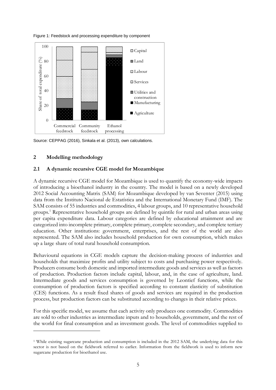Figure 1: Feedstock and processing expenditure by component



Source: CEPPAG (2016), Sinkala et al. (2013), own calculations.

## **2 Modelling methodology**

-

### **2.1 A dynamic recursive CGE model for Mozambique**

A dynamic recursive CGE model for Mozambique is used to quantify the economy-wide impacts of introducing a bioethanol industry in the country. The model is based on a newly developed 2012 Social Accounting Matrix (SAM) for Mozambique developed by van Seventer (2015) using data from the Instituto Nacional de Estatística and the International Monetary Fund (IMF). The SAM consists of 55 industries and commodities, 4 labour groups, and 10 representative household groups.<sup>1</sup> Representative household groups are defined by quintile for rural and urban areas using per capita expenditure data. Labour categories are defined by educational attainment and are categorized into incomplete primary, complete primary, complete secondary, and complete tertiary education. Other institutions: government, enterprises, and the rest of the world are also represented. The SAM also includes household production for own consumption, which makes up a large share of total rural household consumption.

Behavioural equations in CGE models capture the decision-making process of industries and households that maximize profits and utility subject to costs and purchasing power respectively. Producers consume both domestic and imported intermediate goods and services as well as factors of production. Production factors include capital, labour, and, in the case of agriculture, land. Intermediate goods and services consumption is governed by Leontief functions, while the consumption of production factors is specified according to constant elasticity of substitution (CES) functions. As a result fixed shares of goods and services are required in the production process, but production factors can be substituted according to changes in their relative prices.

For this specific model, we assume that each activity only produces one commodity. Commodities are sold to other industries as intermediate inputs and to households, government, and the rest of the world for final consumption and as investment goods. The level of commodities supplied to

<sup>1</sup> While existing sugarcane production and consumption is included in the 2012 SAM, the underlying data for this sector is not based on the fieldwork referred to earlier. Information from the fieldwork is used to inform new sugarcane production for bioethanol use.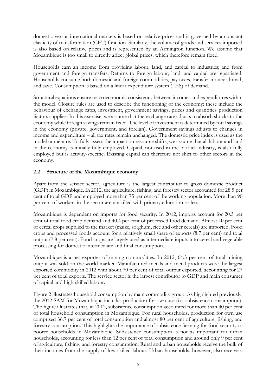domestic versus international markets is based on relative prices and is governed by a constant elasticity of transformation (CET) function. Similarly, the volume of goods and services imported is also based on relative prices and is represented by an Armington function. We assume that Mozambique is too small to directly affect global prices, which therefore remain fixed.

Households earn an income from providing labour, land, and capital to industries; and from government and foreign transfers. Returns to foreign labour, land, and capital are repatriated. Households consume both domestic and foreign commodities, pay taxes, transfer money abroad, and save. Consumption is based on a linear expenditure system (LES) of demand.

Structural equations ensure macroeconomic consistency between incomes and expenditures within the model. Closure rules are used to describe the functioning of the economy; these include the behaviour of exchange rates, investment, government savings, prices and quantities production factors supplies. In this exercise, we assume that the exchange rate adjusts to absorb shocks to the economy while foreign savings remain fixed. The level of investment is determined by total savings in the economy (private, government, and foreign). Government savings adjusts to changes in income and expenditure – all tax rates remain unchanged. The domestic price index is used as the model numéraire. To fully assess the impact on resource shifts, we assume that all labour and land in the economy is initially fully employed. Capital, not used in the biofuel industry, is also fully employed but is activity-specific. Existing capital can therefore not shift to other sectors in the economy.

# **2.2 Structure of the Mozambique economy**

Apart from the service sector, agriculture is the largest contributor to gross domestic product (GDP) in Mozambique. In 2012, the agriculture, fishing, and forestry sector accounted for 28.5 per cent of total GDP and employed more than 75 per cent of the working population. More than 90 per cent of workers in the sector are unskilled with primary education or less.

Mozambique is dependent on imports for food security. In 2012, imports account for 20.3 per cent of total food crop demand and 40.4 per cent of processed food demand. Almost 40 per cent of cereal crops supplied to the market (maize, sorghum, rice and other cereals) are imported. Food crops and processed foods account for a relatively small share of exports (8.7 per cent) and total output (7.8 per cent). Food crops are largely used as intermediate inputs into cereal and vegetable processing for domestic intermediate and final consumption.

Mozambique is a net exporter of mining commodities. In 2012, 64.3 per cent of total mining output was sold on the world market. Manufactured metals and metal products were the largest exported commodity in 2012 with about 70 per cent of total output exported, accounting for 27 per cent of total exports. The service sector is the largest contributor to GDP and main consumer of capital and high-skilled labour.

Figure 2 illustrates household consumption by main commodity group. As highlighted previously, the 2012 SAM for Mozambique includes production for own use (i.e. subsistence consumption). The figure illustrates that, in 2012, subsistence consumption accounted for more than 40 per cent of total household consumption in Mozambique. For rural households, production for own use comprised 36.7 per cent of total consumption and almost 80 per cent of agriculture, fishing, and forestry consumption. This highlights the importance of subsistence farming for food security to poorer households in Mozambique. Subsistence consumption is not as important for urban households, accounting for less than 12 per cent of total consumption and around only 9 per cent of agriculture, fishing, and forestry consumption. Rural and urban households receive the bulk of their incomes from the supply of low-skilled labour. Urban households, however, also receive a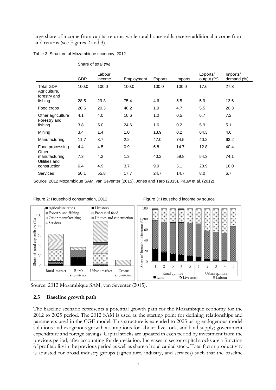large share of income from capital returns, while rural households receive additional income from land returns (see Figures 2 and 3).

|  |  | Table 3: Structure of Mozambique economy, 2012 |  |  |
|--|--|------------------------------------------------|--|--|
|  |  |                                                |  |  |

|                                                  | Share of total (%) |                  |            |         |         |                        |                        |
|--------------------------------------------------|--------------------|------------------|------------|---------|---------|------------------------|------------------------|
|                                                  | <b>GDP</b>         | Labour<br>income | Employment | Exports | Imports | Exports/<br>output (%) | Imports/<br>demand (%) |
| <b>Total GDP</b><br>Agriculture,<br>forestry and | 100.0              | 100.0            | 100.0      | 100.0   | 100.0   | 17.6                   | 27.3                   |
| fishing                                          | 28.5               | 29.3             | 75.4       | 4.6     | 5.5     | 5.9                    | 13.6                   |
| Food crops                                       | 20.6               | 20.3             | 40.2       | 1.9     | 4.7     | 5.5                    | 20.3                   |
| Other agriculture<br>Forestry and                | 4.1                | 4.0              | 10.6       | 1.0     | 0.5     | 6.7                    | 7.2                    |
| fishing                                          | 3.8                | 5.0              | 24.6       | 1.6     | 0.2     | 5.9                    | 5.1                    |
| Mining                                           | 3.4                | 1.4              | 1.0        | 13.9    | 0.2     | 64.3                   | 4.6                    |
| Manufacturing                                    | 11.7               | 8.7              | 2.2        | 47.0    | 74.5    | 40.2                   | 63.2                   |
| Food processing<br>Other                         | 4.4                | 4.5              | 0.9        | 6.8     | 14.7    | 12.8                   | 40.4                   |
| manufacturing<br>Utilities and                   | 7.3                | 4.2              | 1.3        | 40.2    | 59.8    | 54.3                   | 74.1                   |
| construction                                     | 6.4                | 4.9              | 3.7        | 9.9     | 5.1     | 20.9                   | 16.0                   |
| <b>Services</b>                                  | 50.1               | 55.8             | 17.7       | 24.7    | 14.7    | 8.0                    | 6.7                    |

Source: 2012 Mozambique SAM, van Seventer (2015), Jones and Tarp (2015), Pauw et al. (2012).



Figure 2: Household consumption, 2012 Figure 3: Household income by source



# **2.3 Baseline growth path**

The baseline scenario represents a potential growth path for the Mozambique economy for the 2012 to 2025 period. The 2012 SAM is used as the starting point for defining relationships and parameters used in the CGE model. This structure is extended to 2025 using endogenous model solutions and exogenous growth assumptions for labour, livestock, and land supply; government expenditure and foreign savings. Capital stocks are updated in each period by investment from the previous period, after accounting for depreciation. Increases in sector capital stocks are a function of profitability in the previous period as well as share of total capital stock. Total factor productivity is adjusted for broad industry groups (agriculture, industry, and services) such that the baseline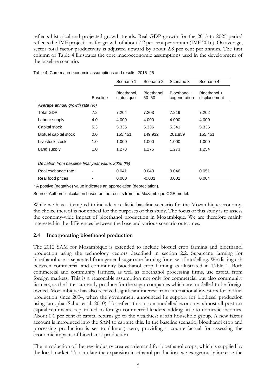reflects historical and projected growth trends. Real GDP growth for the 2015 to 2025 period reflects the IMF projections for growth of about 7.2 per cent per annum (IMF 2016). On average, sector total factor productivity is adjusted upward by about 2.8 per cent per annum. The first column of Table 4 illustrates the core macroeconomic assumptions used in the development of the baseline scenario.

|                                                    |                 | Scenario 1                | Scenario 2               | Scenario 3                   | Scenario 4                   |  |  |
|----------------------------------------------------|-----------------|---------------------------|--------------------------|------------------------------|------------------------------|--|--|
|                                                    | <b>Baseline</b> | Bioethanol,<br>status quo | Bioethanol,<br>$50 - 50$ | Bioethanol +<br>cogeneration | Bioethanol +<br>displacement |  |  |
| Average annual growth rate (%)                     |                 |                           |                          |                              |                              |  |  |
| <b>Total GDP</b>                                   | 7.2             | 7.204                     | 7.203                    | 7.219                        | 7.202                        |  |  |
| Labour supply                                      | 4.0             | 4.000                     | 4.000                    | 4.000                        | 4.000                        |  |  |
| Capital stock                                      | 5.3             | 5.336                     | 5.336                    | 5.341                        | 5.336                        |  |  |
| Biofuel capital stock                              | 0.0             | 155.451                   | 149.932                  | 201.859                      | 155.451                      |  |  |
| Livestock stock                                    | 1.0             | 1.000                     | 1.000                    | 1.000                        | 1.000                        |  |  |
| Land supply                                        | 1.0             | 1.273                     | 1.275                    | 1.273                        | 1.254                        |  |  |
|                                                    |                 |                           |                          |                              |                              |  |  |
| Deviation from baseline final year value, 2025 (%) |                 |                           |                          |                              |                              |  |  |
| Real exchange rate*                                |                 | 0.041                     | 0.043                    | 0.046                        | 0.051                        |  |  |
| Real food prices                                   |                 | 0.000                     | $-0.001$                 | 0.002                        | 0.004                        |  |  |

Table 4: Core macroeconomic assumptions and results, 2015–25

\* A postive (negative) value indicates an appreciation (depreciation).

Source: Authors' calculation based on the results from the Mozambique CGE model.

While we have attempted to include a realistic baseline scenario for the Mozambique economy, the choice thereof is not critical for the purposes of this study. The focus of this study is to assess the economy-wide impact of bioethanol production in Mozambique. We are therefore mainly interested in the differences between the base and various scenario outcomes.

#### **2.4 Incorporating bioethanol production**

The 2012 SAM for Mozambique is extended to include biofuel crop farming and bioethanol production using the technology vectors described in section 2.2. Sugarcane farming for bioethanol use is separated from general sugarcane farming for ease of modelling. We distinguish between commercial and community bioethanol crop farming as illustrated in Table 1. Both commercial and community farmers, as well as bioethanol processing firms, use capital from foreign markets. This is a reasonable assumption not only for commercial but also community farmers, as the latter currently produce for the sugar companies which are modelled to be foreign owned. Mozambique has also received significant interest from international investors for biofuel production since 2004, when the government announced its support for biodiesel production using jatropha (Schut et al. 2010). To reflect this in our modelled economy, almost all post-tax capital returns are repatriated to foreign commercial lenders, adding little to domestic incomes. About 0.1 per cent of capital returns go to the wealthiest urban household group. A new factor account is introduced into the SAM to capture this. In the baseline scenario, bioethanol crop and processing production is set to (almost) zero, providing a counterfactual for assessing the economic impacts of bioethanol production.

The introduction of the new industry creates a demand for bioethanol crops, which is supplied by the local market. To simulate the expansion in ethanol production, we exogenously increase the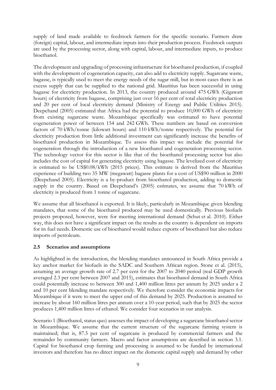supply of land made available to feedstock farmers for the specific scenario. Farmers draw (foreign) capital, labour, and intermediate inputs into their production process. Feedstock outputs are used by the processing sector, along with capital, labour, and intermediate inputs, to produce bioethanol.

The development and upgrading of processing infrastructure for bioethanol production, if coupled with the development of cogeneration capacity, can also add to electricity supply. Sugarcane waste, bagasse, is typically used to meet the energy needs of the sugar mill, but in most cases there is an excess supply that can be supplied to the national grid. Mauritius has been successful in using bagasse for electricity production. In 2013, the country produced around 475 GWh (Gigawatt hours) of electricity from bagasse, comprising just over 16 per cent of total electricity production and 20 per cent of local electricity demand (Ministry of Energy and Public Utilities 2015). Deepchand (2005) estimated that Africa had the potential to produce 10,000 GWh of electricity from existing sugarcane waste. Mozambique specifically was estimated to have potential cogeneration power of between 154 and 242 GWh. These numbers are based on conversion factors of 70 kWh/tonne (kilowatt hours) and 110 kWh/tonne respectively. The potential for electricity production from little additional investment can significantly increase the benefits of bioethanol production in Mozambique. To assess this impact we include the potential for cogeneration through the introduction of a new bioethanol and cogeneration processing sector. The technology vector for this sector is like that of the bioethanol processing sector but also includes the cost of capital for generating electricity using bagasse. The levelized cost of electricity is estimated to be US\$0.08/kWh (2015 prices). This estimate is derived from the Mauritius experience of building two 35 MW (megawatt) bagasse plants for a cost of US\$90 million in 2000 (Deepchand 2005). Electricity is a by-product from bioethanol production, adding to domestic supply in the country. Based on Deepchand's (2005) estimates, we assume that 70 kWh of electricity is produced from 1 tonne of sugarcane.

We assume that all bioethanol is exported. It is likely, particularly in Mozambique given blending mandates, that some of the bioethanol produced may be used domestically. Previous biofuels projects proposed, however, were for meeting international demand (Schut et al. 2010). Either way, this does not have a significant impact on the results as the country is dependent on imports for its fuel needs. Domestic use of bioethanol would reduce exports of bioethanol but also reduce imports of petroleum.

### **2.5 Scenarios and assumptions**

As highlighted in the introduction, the blending mandates announced in South Africa provide a key anchor market for biofuels in the SADC and Southern African region. Stone et al. (2015), assuming an average growth rate of 2.7 per cent for the 2007 to 2040 period (real GDP growth averaged 2.3 per cent between 2007 and 2015), estimates that bioethanol demand in South Africa could potentially increase to between 300 and 1,400 million litres per annum by 2025 under a 2 and 10 per cent blending mandate respectively. We therefore consider the economic impacts for Mozambique if it were to meet the upper end of this demand by 2025. Production is assumed to increase by about 160 million litres per annum over a 10-year period, such that by 2025 the sector produces 1,400 million litres of ethanol. We consider four scenarios in our analysis.

Scenario 1 (Bioethanol, status quo) assesses the impact of developing a sugarcane bioethanol sector in Mozambique. We assume that the current structure of the sugarcane farming system is maintained; that is, 87.5 per cent of sugarcane is produced by commercial farmers and the remainder by community farmers. Macro and factor assumptions are described in section 3.1. Capital for bioethanol crop farming and processing is assumed to be funded by international investors and therefore has no direct impact on the domestic capital supply and demand by other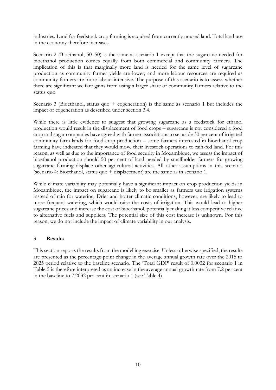industries. Land for feedstock crop farming is acquired from currently unused land. Total land use in the economy therefore increases.

Scenario 2 (Bioethanol, 50–50) is the same as scenario 1 except that the sugarcane needed for bioethanol production comes equally from both commercial and community farmers. The implication of this is that marginally more land is needed for the same level of sugarcane production as community farmer yields are lower; and more labour resources are required as community farmers are more labour intensive. The purpose of this scenario is to assess whether there are significant welfare gains from using a larger share of community farmers relative to the status quo.

Scenario 3 (Bioethanol, status quo + cogeneration) is the same as scenario 1 but includes the impact of cogeneration as described under section 3.4.

While there is little evidence to suggest that growing sugarcane as a feedstock for ethanol production would result in the displacement of food crops – sugarcane is not considered a food crop and sugar companies have agreed with farmer associations to set aside 30 per cent of irrigated community farm lands for food crop production – some farmers interested in bioethanol crop farming have indicated that they would move their livestock operations to rain-fed land. For this reason, as well as due to the importance of food security in Mozambique, we assess the impact of bioethanol production should 50 per cent of land needed by smallholder farmers for growing sugarcane farming displace other agricultural activities. All other assumptions in this scenario (scenario 4: Bioethanol, status quo + displacement) are the same as in scenario 1.

While climate variability may potentially have a significant impact on crop production yields in Mozambique, the impact on sugarcane is likely to be smaller as farmers use irrigation systems instead of rain for watering. Drier and hotter climatic conditions, however, are likely to lead to more frequent watering, which would raise the costs of irrigation. This would lead to higher sugarcane prices and increase the cost of bioethanol, potentially making it less competitive relative to alternative fuels and suppliers. The potential size of this cost increase is unknown. For this reason, we do not include the impact of climate variability in our analysis.

### **3 Results**

This section reports the results from the modelling exercise. Unless otherwise specified, the results are presented as the percentage point change in the average annual growth rate over the 2015 to 2025 period relative to the baseline scenario. The 'Total GDP' result of 0.0032 for scenario 1 in Table 5 is therefore interpreted as an increase in the average annual growth rate from 7.2 per cent in the baseline to 7.2032 per cent in scenario 1 (see Table 4).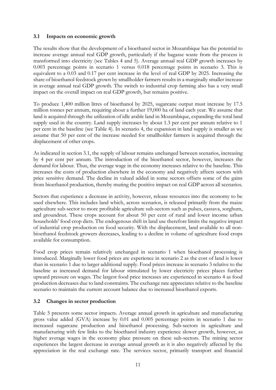## **3.1 Impacts on economic growth**

The results show that the development of a bioethanol sector in Mozambique has the potential to increase average annual real GDP growth, particularly if the bagasse waste from the process is transformed into electricity (see Tables 4 and 5). Average annual real GDP growth increases by 0.003 percentage points in scenario 1 versus 0.018 percentage points in scenario 3. This is equivalent to a 0.03 and 0.17 per cent increase in the level of real GDP by 2025. Increasing the share of bioethanol feedstock grown by smallholder farmers results in a marginally smaller increase in average annual real GDP growth. The switch to industrial crop farming also has a very small impact on the overall impact on real GDP growth, but remains positive.

To produce 1,400 million litres of bioethanol by 2025, sugarcane output must increase by 17.5 million tonnes per annum, requiring about a further 19,000 ha of land each year. We assume that land is acquired through the utilization of idle arable land in Mozambique, expanding the total land supply used in the country. Land supply increases by about 1.3 per cent per annum relative to 1 per cent in the baseline (see Table 4). In scenario 4, the expansion in land supply is smaller as we assume that 50 per cent of the increase needed for smallholder farmers is acquired through the displacement of other crops.

As indicated in section 3.1, the supply of labour remains unchanged between scenarios, increasing by 4 per cent per annum. The introduction of the bioethanol sector, however, increases the demand for labour. Thus, the average wage in the economy increases relative to the baseline. This increases the costs of production elsewhere in the economy and negatively affects sectors with price sensitive demand. The decline in valued added in some sectors offsets some of the gains from bioethanol production, thereby muting the positive impact on real GDP across all scenarios.

Sectors that experience a decrease in activity, however, release resources into the economy to be used elsewhere. This includes land which, across scenarios, is released primarily from the maize agriculture sub-sector to more profitable agriculture sub-sectors such as pulses, cassava, sorghum, and groundnut. These crops account for about 50 per cent of rural and lower income urban households' food crop diets. The endogenous shift in land use therefore limits the negative impact of industrial crop production on food security. With the displacement, land available to all nonbioethanol feedstock growers decreases, leading to a decline in volume of agriculture food crops available for consumption.

Food crop prices remain relatively unchanged in scenario 1 when bioethanol processing is introduced. Marginally lower food prices are experience in scenario 2 as the cost of land is lower than in scenario 1 due to larger additional supply. Food prices increase in scenario 3 relative to the baseline as increased demand for labour stimulated by lower electricity prices places further upward pressure on wages. The largest food price increases are experienced in scenario 4 as food production decreases due to land constraints. The exchange rate appreciates relative to the baseline scenario to maintain the current account balance due to increased bioethanol exports.

# **3.2 Changes in sector production**

Table 5 presents some sector impacts. Average annual growth in agriculture and manufacturing gross value added (GVA) increase by 0.01 and 0.005 percentage points in scenario 1 due to increased sugarcane production and bioethanol processing. Sub-sectors in agriculture and manufacturing with few links to the bioethanol industry experience slower growth, however, as higher average wages in the economy place pressure on these sub-sectors. The mining sector experiences the largest decrease in average annual growth as it is also negatively affected by the appreciation in the real exchange rate. The services sector, primarily transport and financial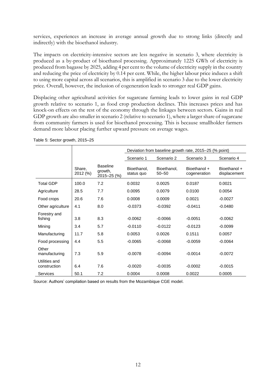services, experiences an increase in average annual growth due to strong links (directly and indirectly) with the bioethanol industry.

The impacts on electricity-intensive sectors are less negative in scenario 3, where electricity is produced as a by-product of bioethanol processing. Approximately 1225 GWh of electricity is produced from bagasse by 2025, adding 4 per cent to the volume of electricity supply in the country and reducing the price of electricity by 0.14 per cent. While, the higher labour price induces a shift to using more capital across all scenarios, this is amplified in scenario 3 due to the lower electricity price. Overall, however, the inclusion of cogeneration leads to stronger real GDP gains.

Displacing other agricultural activities for sugarcane farming leads to lower gains in real GDP growth relative to scenario 1, as food crop production declines. This increases prices and has knock-on effects on the rest of the economy through the linkages between sectors. Gains in real GDP growth are also smaller in scenario 2 (relative to scenario 1), where a larger share of sugarcane from community farmers is used for bioethanol processing. This is because smallholder farmers demand more labour placing further upward pressure on average wages.

|                               |                    |                                           | Deviation from baseline growth rate, 2015-25 (% point) |                          |                              |                              |  |  |
|-------------------------------|--------------------|-------------------------------------------|--------------------------------------------------------|--------------------------|------------------------------|------------------------------|--|--|
|                               |                    |                                           | Scenario 1                                             | Scenario 2               | Scenario 3                   | Scenario 4                   |  |  |
|                               | Share,<br>2012 (%) | <b>Baseline</b><br>growth,<br>2015-25 (%) | Bioethanol,<br>status quo                              | Bioethanol,<br>$50 - 50$ | Bioethanol +<br>cogeneration | Bioethanol +<br>displacement |  |  |
| <b>Total GDP</b>              | 100.0              | 7.2                                       | 0.0032                                                 | 0.0025                   | 0.0187                       | 0.0021                       |  |  |
| Agriculture                   | 28.5               | 7.7                                       | 0.0095                                                 | 0.0079                   | 0.0100                       | 0.0054                       |  |  |
| Food crops                    | 20.6               | 7.6                                       | 0.0008                                                 | 0.0009                   | 0.0021                       | $-0.0027$                    |  |  |
| Other agriculture             | 4.1                | 8.0                                       | $-0.0373$                                              | $-0.0392$                | $-0.0411$                    | $-0.0480$                    |  |  |
| Forestry and<br>fishing       | 3.8                | 8.3                                       | $-0.0062$                                              | $-0.0066$                | $-0.0051$                    | $-0.0062$                    |  |  |
| Mining                        | 3.4                | 5.7                                       | $-0.0110$                                              | $-0.0122$                | $-0.0123$                    | $-0.0099$                    |  |  |
| Manufacturing                 | 11.7               | 5.8                                       | 0.0053                                                 | 0.0026                   | 0.1511                       | 0.0057                       |  |  |
| Food processing               | 4.4                | 5.5                                       | $-0.0065$                                              | $-0.0068$                | $-0.0059$                    | $-0.0064$                    |  |  |
| Other<br>manufacturing        | 7.3                | 5.9                                       | $-0.0078$                                              | $-0.0094$                | $-0.0014$                    | $-0.0072$                    |  |  |
| Utilities and<br>construction | 6.4                | 7.6                                       | $-0.0020$                                              | $-0.0035$                | $-0.0002$                    | $-0.0015$                    |  |  |
| Services                      | 50.1               | 7.2                                       | 0.0004                                                 | 0.0008                   | 0.0022                       | 0.0005                       |  |  |

Table 5: Sector growth, 2015–25

Source: Authors' compilation based on results from the Mozambique CGE model.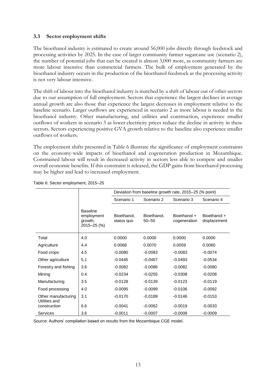### **3.3 Sector employment shifts**

The bioethanol industry is estimated to create around 56,000 jobs directly through feedstock and processing activities by 2025. In the case of larger community farmer sugarcane use (scenario 2), the number of potential jobs that can be created is almost 3,000 more, as community farmers are more labour intensive than commercial farmers. The bulk of employment generated by the bioethanol industry occurs in the production of the bioethanol feedstock as the processing activity is not very labour intensive.

The shift of labour into the bioethanol industry is matched by a shift of labour out of other sectors due to our assumption of full employment. Sectors that experience the largest declines in average annual growth are also those that experience the largest decreases in employment relative to the baseline scenario. Larger outflows are experienced in scenario 2 as more labour is needed in the bioethanol industry. Other manufacturing, and utilities and construction, experience smaller outflows of workers in scenario 3 as lower electricity prices reduce the decline in activity in these sectors. Sectors experiencing positive GVA growth relative to the baseline also experience smaller outflows of workers.

The employment shifts presented in Table 6 illustrate the significance of employment constraints on the economy-wide impacts of bioethanol and cogeneration production in Mozambique. Constrained labour will result in decreased activity in sectors less able to compete and smaller overall economic benefits. If this constraint is released, the GDP gains from bioethanol processing may be higher and lead to increased employment.

|                                      |                                                         | Deviation from baseline growth rate, 2015-25 (% point) |                          |                              |                              |  |  |  |
|--------------------------------------|---------------------------------------------------------|--------------------------------------------------------|--------------------------|------------------------------|------------------------------|--|--|--|
|                                      |                                                         | Scenario 1                                             | Scenario 2               | Scenario 3                   | Scenario 4                   |  |  |  |
|                                      | <b>Baseline</b><br>employment<br>growth,<br>2015-25 (%) | Bioethanol.<br>status quo                              | Bioethanol,<br>$50 - 50$ | Bioethanol +<br>cogeneration | Bioethanol +<br>displacement |  |  |  |
| Total                                | 4.0                                                     | 0.0000                                                 | 0.0000                   | 0.0000                       | 0.0000                       |  |  |  |
| Agriculture                          | 4.4                                                     | 0.0068                                                 | 0.0070                   | 0.0059                       | 0.0060                       |  |  |  |
| Food crops                           | 4.5                                                     | $-0.0080$                                              | $-0.0083$                | $-0.0083$                    | $-0.0074$                    |  |  |  |
| Other agriculture                    | 5.1                                                     | $-0.0445$                                              | $-0.0467$                | $-0.0493$                    | $-0.0534$                    |  |  |  |
| Forestry and fishing                 | 3.6                                                     | $-0.0082$                                              | $-0.0086$                | $-0.0082$                    | $-0.0080$                    |  |  |  |
| Mining                               | 0.4                                                     | $-0.0234$                                              | $-0.0255$                | $-0.0308$                    | $-0.0208$                    |  |  |  |
| Manufacturing                        | 3.5                                                     | $-0.0128$                                              | $-0.0139$                | $-0.0123$                    | $-0.0119$                    |  |  |  |
| Food processing                      | 4.0                                                     | $-0.0095$                                              | $-0.0099$                | $-0.0106$                    | $-0.0092$                    |  |  |  |
| Other manufacturing<br>Utilities and | 3.1                                                     | $-0.0170$                                              | $-0.0189$                | $-0.0146$                    | $-0.0153$                    |  |  |  |
| construction                         | 6.6                                                     | $-0.0041$                                              | $-0.0062$                | $-0.0019$                    | $-0.0033$                    |  |  |  |
| <b>Services</b>                      | 3.6                                                     | $-0.0011$                                              | $-0.0007$                | $-0.0008$                    | $-0.0009$                    |  |  |  |

#### Table 6: Sector employment, 2015–25

Source: Authors' compilation based on results from the Mozambique CGE model.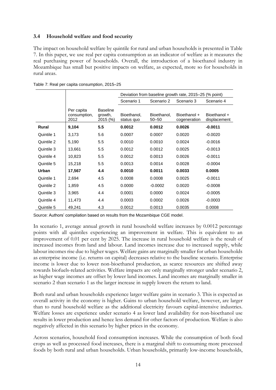### **3.4 Household welfare and food security**

The impact on household welfare by quintile for rural and urban households is presented in Table 7. In this paper, we use real per capita consumption as an indicator of welfare as it measures the real purchasing power of households. Overall, the introduction of a bioethanol industry in Mozambique has small but positive impacts on welfare, as expected, more so for households in rural areas.

|              |                                    |                                        | Deviation from baseline growth rate, 2015–25 (% point) |                          |                              |                              |  |  |
|--------------|------------------------------------|----------------------------------------|--------------------------------------------------------|--------------------------|------------------------------|------------------------------|--|--|
|              |                                    |                                        | Scenario 1                                             | Scenario 2               | Scenario 3                   | Scenario 4                   |  |  |
|              | Per capita<br>consumption,<br>2012 | <b>Baseline</b><br>growth,<br>2015 (%) | Bioethanol,<br>status quo                              | Bioethanol,<br>$50 - 50$ | Bioethanol +<br>cogeneration | Bioethanol +<br>displacement |  |  |
| <b>Rural</b> | 9,104                              | 5.5                                    | 0.0012                                                 | 0.0012                   | 0.0026                       | $-0.0011$                    |  |  |
| Quintile 1   | 3,173                              | 5.6                                    | 0.0007                                                 | 0.0007                   | 0.0020                       | $-0.0020$                    |  |  |
| Quintile 2   | 5,190                              | 5.5                                    | 0.0010                                                 | 0.0010                   | 0.0024                       | $-0.0016$                    |  |  |
| Quintile 3   | 13,661                             | 5.5                                    | 0.0012                                                 | 0.0012                   | 0.0025                       | $-0.0013$                    |  |  |
| Quintile 4   | 10,823                             | 5.5                                    | 0.0012                                                 | 0.0013                   | 0.0026                       | $-0.0011$                    |  |  |
| Quintile 5   | 15,218                             | 5.5                                    | 0.0013                                                 | 0.0014                   | 0.0028                       | $-0.0004$                    |  |  |
| Urban        | 17,567                             | 4.4                                    | 0.0010                                                 | 0.0011                   | 0.0033                       | 0.0005                       |  |  |
| Quintile 1   | 2,694                              | 4.5                                    | 0.0008                                                 | 0.0008                   | 0.0025                       | $-0.0011$                    |  |  |
| Quintile 2   | 1,859                              | 4.5                                    | 0.0000                                                 | $-0.0002$                | 0.0020                       | $-0.0008$                    |  |  |
| Quintile 3   | 3,965                              | 4.4                                    | 0.0001                                                 | 0.0000                   | 0.0024                       | $-0.0005$                    |  |  |
| Quintile 4   | 11,473                             | 4.4                                    | 0.0003                                                 | 0.0002                   | 0.0026                       | $-0.0003$                    |  |  |
| Quintile 5   | 49,241                             | 4.3                                    | 0.0012                                                 | 0.0013                   | 0.0035                       | 0.0008                       |  |  |

Table 7: Real per capita consumption, 2015–25

Source: Authors' compilation based on results from the Mozambique CGE model.

In scenario 1, average annual growth in rural household welfare increases by 0.0012 percentage points with all quintiles experiencing an improvement in welfare. This is equivalent to an improvement of 0.01 per cent by 2025. The increase in rural household welfare is the result of increased incomes from land and labour. Land incomes increase due to increased supply, while labour incomes rise due to higher wages. Welfare gains are marginally smaller for urban households as enterprise income (i.e. returns on capital) decreases relative to the baseline scenario. Enterprise income is lower due to lower non-bioethanol production, as scarce resources are shifted away towards biofuels-related activities. Welfare impacts are only marginally stronger under scenario 2, as higher wage incomes are offset by lower land incomes. Land incomes are marginally smaller in scenario 2 than scenario 1 as the larger increase in supply lowers the return to land.

Both rural and urban households experience larger welfare gains in scenario 3. This is expected as overall activity in the economy is higher. Gains to urban household welfare, however, are larger than to rural household welfare as the additional electricity favours capital-intensive industries. Welfare losses are experience under scenario 4 as lower land availability for non-bioethanol use results in lower production and hence less demand for other factors of production. Welfare is also negatively affected in this scenario by higher prices in the economy.

Across scenarios, household food consumption increases. While the consumption of both food crops as well as processed food increases, there is a marginal shift to consuming more processed foods by both rural and urban households. Urban households, primarily low-income households,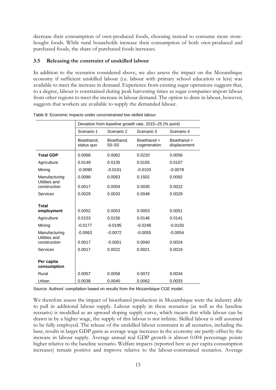decrease their consumption of own-produced foods, choosing instead to consume more storebought foods. While rural households increase their consumption of both own-produced and purchased foods, the share of purchased foods increases.

# **3.5 Releasing the constraint of unskilled labour**

In addition to the scenarios considered above, we also assess the impact on the Mozambique economy if sufficient unskilled labour (i.e. labour with primary school education or less) was available to meet the increase in demand. Experience from existing sugar operations suggests that, to a degree, labour is constrained during peak harvesting times as sugar companies import labour from other regions to meet the increase in labour demand. The option to draw in labour, however, suggests that workers are available to supply the demanded labour.

|                                | Deviation from baseline growth rate, 2015-25 (% point) |                          |                              |                              |  |  |  |
|--------------------------------|--------------------------------------------------------|--------------------------|------------------------------|------------------------------|--|--|--|
|                                | Scenario 1                                             | Scenario 2               | Scenario 3                   | Scenario 4                   |  |  |  |
|                                | Bioethanol,<br>status quo                              | Bioethanol,<br>$50 - 50$ | Bioethanol +<br>cogeneration | Bioethanol +<br>displacement |  |  |  |
| <b>Total GDP</b>               | 0.0068                                                 | 0.0062                   | 0.0220                       | 0.0056                       |  |  |  |
| Agriculture                    | 0.0149                                                 | 0.0135                   | 0.0155                       | 0.0107                       |  |  |  |
| Mining                         | $-0.0090$                                              | $-0.0101$                | $-0.0103$                    | $-0.0078$                    |  |  |  |
| Manufacturing<br>Utilities and | 0.0088                                                 | 0.0063                   | 0.1502                       | 0.0092                       |  |  |  |
| construction                   | 0.0017                                                 | 0.0004                   | 0.0035                       | 0.0022                       |  |  |  |
| Services                       | 0.0029                                                 | 0.0033                   | 0.0048                       | 0.0029                       |  |  |  |
|                                |                                                        |                          |                              |                              |  |  |  |
| Total<br>employment            | 0.0052                                                 | 0.0053                   | 0.0053                       | 0.0051                       |  |  |  |
| Agriculture                    | 0.0153                                                 | 0.0156                   | 0.0146                       | 0.0141                       |  |  |  |
| Mining                         | $-0.0177$                                              | $-0.0195$                | $-0.0248$                    | $-0.0150$                    |  |  |  |
| Manufacturing<br>Utilities and | $-0.0063$                                              | $-0.0072$                | $-0.0055$                    | $-0.0054$                    |  |  |  |
| construction                   | 0.0017                                                 | $-0.0001$                | 0.0040                       | 0.0024                       |  |  |  |
| Services                       | 0.0017                                                 | 0.0022                   | 0.0021                       | 0.0019                       |  |  |  |
| Per capita<br>consumption      |                                                        |                          |                              |                              |  |  |  |
| Rural                          | 0.0057                                                 | 0.0058                   | 0.0072                       | 0.0034                       |  |  |  |
| Urban                          | 0.0038                                                 | 0.0040                   | 0.0062                       | 0.0033                       |  |  |  |

Table 8: Economic impacts under unconstrained low-skilled labour

Source: Authors' compilation based on results from the Mozambique CGE model.

We therefore assess the impact of bioethanol production in Mozambique were the industry able to pull in additional labour supply. Labour supply in these scenarios (as well as the baseline scenario) is modelled as an upward sloping supply curve, which means that while labour can be drawn in by a higher wage, the supply of this labour is not infinite. Skilled labour is still assumed to be fully employed. The release of the unskilled labour constraint in all scenarios, including the base, results in larger GDP gains as average wage increases in the economy are partly offset by the increase in labour supply. Average annual real GDP growth is almost 0.004 percentage points higher relative to the baseline scenario. Welfare impacts (reported here as per capita consumption increases) remain positive and improve relative to the labour-constrained scenarios. Average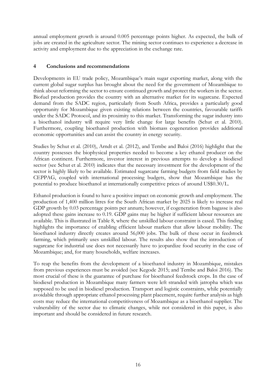annual employment growth is around 0.005 percentage points higher. As expected, the bulk of jobs are created in the agriculture sector. The mining sector continues to experience a decrease in activity and employment due to the appreciation in the exchange rate.

# **4 Conclusions and recommendations**

Developments in EU trade policy, Mozambique's main sugar exporting market, along with the current global sugar surplus has brought about the need for the government of Mozambique to think about reforming the sector to ensure continued growth and protect the workers in the sector. Biofuel production provides the country with an alternative market for its sugarcane. Expected demand from the SADC region, particularly from South Africa, provides a particularly good opportunity for Mozambique given existing relations between the countries, favourable tariffs under the SADC Protocol, and its proximity to this market. Transforming the sugar industry into a bioethanol industry will require very little change for large benefits (Schut et al. 2010). Furthermore, coupling bioethanol production with biomass cogeneration provides additional economic opportunities and can assist the country in energy security.

Studies by Schut et al. (2010), Arndt et al. (2012), and Tembe and Baloi (2016) highlight that the country possesses the biophysical properties needed to become a key ethanol producer on the African continent. Furthermore, investor interest in previous attempts to develop a biodiesel sector (see Schut et al. 2010) indicates that the necessary investment for the development of the sector is highly likely to be available. Estimated sugarcane farming budgets from field studies by CEPPAG, coupled with international processing budgets, show that Mozambique has the potential to produce bioethanol at internationally competitive prices of around US\$0.30/L.

Ethanol production is found to have a positive impact on economic growth and employment. The production of 1,400 million litres for the South African market by 2025 is likely to increase real GDP growth by 0.03 percentage points per annum; however, if cogeneration from bagasse is also adopted these gains increase to 0.19. GDP gains may be higher if sufficient labour resources are available. This is illustrated in Table 8, where the unskilled labour constraint is eased. This finding highlights the importance of enabling efficient labour markets that allow labour mobility. The bioethanol industry directly creates around 56,000 jobs. The bulk of these occur in feedstock farming, which primarily uses unskilled labour. The results also show that the introduction of sugarcane for industrial use does not necessarily have to jeopardize food security in the case of Mozambique; and, for many households, welfare increases.

To reap the benefits from the development of a bioethanol industry in Mozambique, mistakes from previous experiences must be avoided (see Kegode 2015; and Tembe and Baloi 2016). The most crucial of these is the guarantee of purchase for bioethanol feedstock crops. In the case of biodiesel production in Mozambique many farmers were left stranded with jatropha which was supposed to be used in biodiesel production. Transport and logistic constraints, while potentially avoidable through appropriate ethanol processing plant placement, require further analysis as high costs may reduce the international competitiveness of Mozambique as a bioethanol supplier. The vulnerability of the sector due to climatic changes, while not considered in this paper, is also important and should be considered in future research.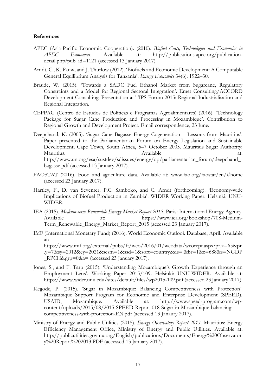#### **References**

- APEC (Asia-Pacific Economic Cooperation). (2010). *Biofuel Costs, Technologies and Economics in APEC Economies*. Available at: http://publications.apec.org/publicationdetail.php?pub\_id=1121 (accessed 13 January 2017).
- Arndt, C., K. Pauw, and J. Thurlow (2012). 'Biofuels and Economic Development: A Computable General Equilibrium Analysis for Tanzania'. *Energy Economics* 34(6): 1922–30.
- Braude, W. (2015). 'Towards a SADC Fuel Ethanol Market from Sugarcane, Regulatory Constraints and a Model for Regional Sectoral Integration'. Emet Consulting/ACCORD Development Consulting. Presentation at TIPS Forum 2015: Regional Industrialisation and Regional Integration.
- CEPPAG (Centro de Estudos de Políticas e Programas Agroalimentares) (2016). 'Technology Package for Sugar Cane Production and Processing in Mozambique'. Contribution to Regional Growth and Development Project. Email correspondence, 23 June.
- Deepchand, K. (2005). 'Sugar Cane Bagasse Energy Cogeneration Lessons from Mauritius'. Paper presented to the Parliamentarian Forum on Energy Legislation and Sustainable Development, Cape Town, South Africa, 5–7 October 2005. Mauritius Sugar Authority: Mauritius. Available at: http://www.un.org/esa/sustdev/sdissues/energy/op/parliamentarian\_forum/deepchand\_ bagasse.pdf (accessed 13 January 2017).
- FAOSTAT (2016). Food and agriculture data. Available at: www.fao.org/faostat/en/#home (accessed 23 January 2017).
- Hartley, F., D. van Seventer, P.C. Samboko, and C. Arndt (forthcoming). 'Economy-wide Implications of Biofuel Production in Zambia'. WIDER Working Paper. Helsinki: UNU-WIDER.
- IEA (2015). *Medium-term Renewable Energy Market Report 2015*. Paris: International Energy Agency. Available at: https://www.iea.org/bookshop/708-Medium-Term\_Renewable\_Energy\_Market\_Report\_2015 (accessed 23 January 2017).
- IMF (International Monetary Fund) (2016). World Economic Outlook Database, April. Available at: https://www.imf.org/external/pubs/ft/weo/2016/01/weodata/weorept.aspx?pr.x=65&pr .y=7&sy=2012&ey=2021&scsm=1&ssd=1&sort=country&ds=.&br=1&c=688&s=NGDP  $RPCH\&grp=0\&a= (accessed 23$  January 2017).
- Jones, S., and F. Tarp (2015). 'Understanding Mozambique's Growth Experience through an Employment Lens'. Working Paper 2015/109. Helsinki: UNU-WIDER. Available at: https://www.wider.unu.edu/sites/default/files/wp2015-109.pdf (accessed 23 January 2017).
- Kegode, P. (2015). 'Sugar in Mozambique: Balancing Competitiveness with Protection'. Mozambique Support Program for Economic and Enterprise Development (SPEED). USAID, Mozambique. Available at: http://www.speed-program.com/wpcontent/uploads/2015/08/2015-SPEED-Report-018-Sugar-in-Mozambique-balancingcompetitiveness-with-protection-EN.pdf (accessed 13 Janaury 2017).
- Ministry of Energy and Public Utilities (2015). *Energy Observatory Report 2013*. Mauritius: Energy Efficiency Management Office, Ministry of Energy and Public Utilities. Available at: http://publicutilities.govmu.org/English/publications/Documents/Energy%20Observator y%20Report%202013.PDF (accessed 13 January 2017).